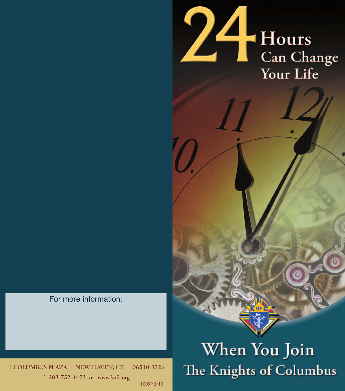

For more information:

1 **COLUMBUS PLAZA NEW HAVEN, CT 065**1**0-3326** 1**-203-752-4473 or www.kofc.org** 10099 2/13

## When You Join The Knights of Columbus